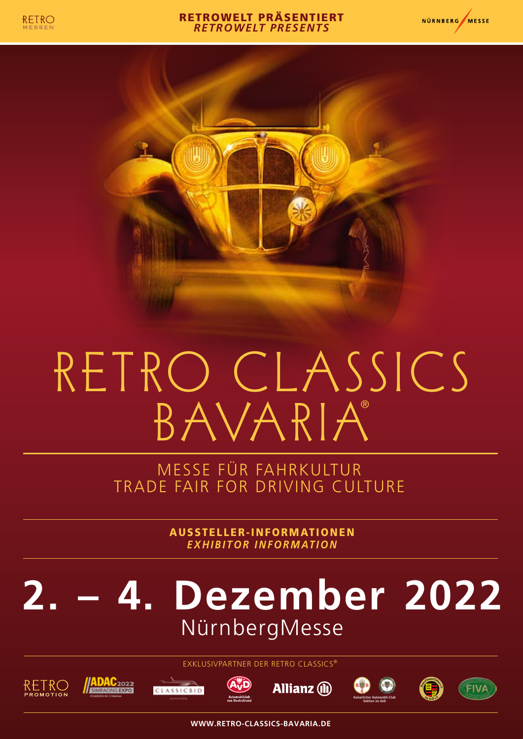

#### RETROWELT PRÄSENTIERT *RETROWELT PRESENTS*





# RETRO CLASSICS B AVA R I A®

MESSE FÜR FAHRKULTUR TRADE FAIR FOR DRIVING CULTURE

> AUSSTELLER-INFORMATIONEN *EXHIBITOR INFORMATION*

## **2. – 4. Dezember 2022**  NürnbergMesse



**ADAC2022** 

EXKLUSIVPARTNER DER RETRO CLASSICS®

**Allianz** (ii)

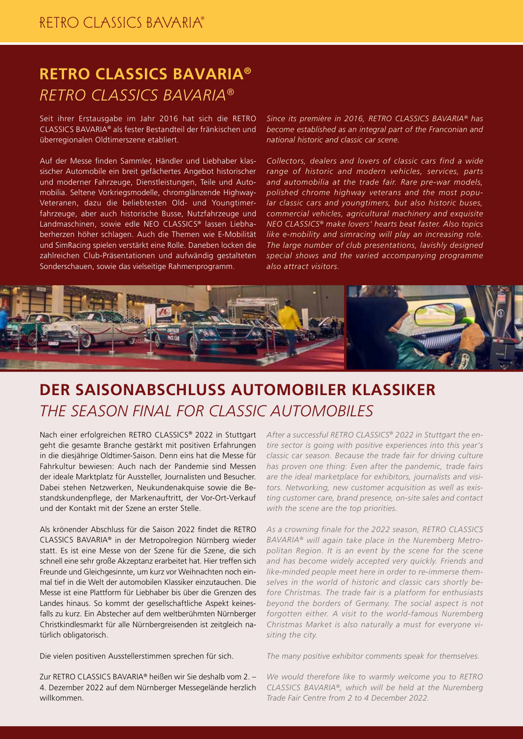### **RETRO CLASSICS BAVARIA®** *RETRO CLASSICS BAVARIA®*

Seit ihrer Erstausgabe im Jahr 2016 hat sich die RETRO CLASSICS BAVARIA® als fester Bestandteil der fränkischen und überregionalen Oldtimerszene etabliert.

Auf der Messe finden Sammler, Händler und Liebhaber klassischer Automobile ein breit gefächertes Angebot historischer und moderner Fahrzeuge, Dienstleistungen, Teile und Automobilia. Seltene Vorkriegsmodelle, chromglänzende Highway-Veteranen, dazu die beliebtesten Old- und Youngtimerfahrzeuge, aber auch historische Busse, Nutzfahrzeuge und Landmaschinen, sowie edle NEO CLASSICS® lassen Liebhaberherzen höher schlagen. Auch die Themen wie E-Mobilität und SimRacing spielen verstärkt eine Rolle. Daneben locken die zahlreichen Club-Präsentationen und aufwändig gestalteten Sonderschauen, sowie das vielseitige Rahmenprogramm.

*Since its première in 2016, RETRO CLASSICS BAVARIA® has become established as an integral part of the Franconian and national historic and classic car scene.*

*Collectors, dealers and lovers of classic cars find a wide range of historic and modern vehicles, services, parts and automobilia at the trade fair. Rare pre-war models, polished chrome highway veterans and the most popular classic cars and youngtimers, but also historic buses, commercial vehicles, agricultural machinery and exquisite NEO CLASSICS® make lovers' hearts beat faster. Also topics like e-mobility and simracing will play an increasing role. The large number of club presentations, lavishly designed special shows and the varied accompanying programme also attract visitors.*



### **DER SAISONABSCHLUSS AUTOMOBILER KLASSIKER** *THE SEASON FINAL FOR CLASSIC AUTOMOBILES*

Nach einer erfolgreichen RETRO CLASSICS® 2022 in Stuttgart geht die gesamte Branche gestärkt mit positiven Erfahrungen in die diesjährige Oldtimer-Saison. Denn eins hat die Messe für Fahrkultur bewiesen: Auch nach der Pandemie sind Messen der ideale Marktplatz für Aussteller, Journalisten und Besucher. Dabei stehen Netzwerken, Neukundenakquise sowie die Bestandskundenpflege, der Markenauftritt, der Vor-Ort-Verkauf und der Kontakt mit der Szene an erster Stelle.

Als krönender Abschluss für die Saison 2022 findet die RETRO CLASSICS BAVARIA® in der Metropolregion Nürnberg wieder statt. Es ist eine Messe von der Szene für die Szene, die sich schnell eine sehr große Akzeptanz erarbeitet hat. Hier treffen sich Freunde und Gleichgesinnte, um kurz vor Weihnachten noch einmal tief in die Welt der automobilen Klassiker einzutauchen. Die Messe ist eine Plattform für Liebhaber bis über die Grenzen des Landes hinaus. So kommt der gesellschaftliche Aspekt keinesfalls zu kurz. Ein Abstecher auf dem weltberühmten Nürnberger Christkindlesmarkt für alle Nürnbergreisenden ist zeitgleich natürlich obligatorisch.

Die vielen positiven Ausstellerstimmen sprechen für sich.

Zur RETRO CLASSICS BAVARIA® heißen wir Sie deshalb vom 2. – 4. Dezember 2022 auf dem Nürnberger Messegelände herzlich willkommen.

*After a successful RETRO CLASSICS® 2022 in Stuttgart the entire sector is going with positive experiences into this year's classic car season. Because the trade fair for driving culture has proven one thing: Even after the pandemic, trade fairs are the ideal marketplace for exhibitors, journalists and visitors. Networking, new customer acquisition as well as existing customer care, brand presence, on-site sales and contact with the scene are the top priorities.*

*As a crowning finale for the 2022 season, RETRO CLASSICS BAVARIA® will again take place in the Nuremberg Metropolitan Region. It is an event by the scene for the scene and has become widely accepted very quickly. Friends and like-minded people meet here in order to re-immerse themselves in the world of historic and classic cars shortly before Christmas. The trade fair is a platform for enthusiasts beyond the borders of Germany. The social aspect is not forgotten either. A visit to the world-famous Nuremberg Christmas Market is also naturally a must for everyone visiting the city.*

*The many positive exhibitor comments speak for themselves.*

*We would therefore like to warmly welcome you to RETRO CLASSICS BAVARIA®, which will be held at the Nuremberg Trade Fair Centre from 2 to 4 December 2022.*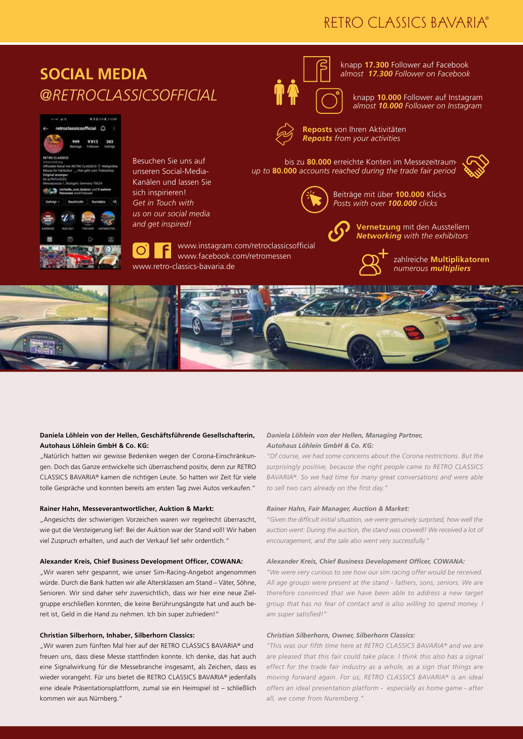### RETRO CLASSICS BAVARIA®



#### **Daniela Löhlein von der Hellen, Geschäftsführende Gesellschafterin, Autohaus Löhlein GmbH & Co. KG:**

"Natürlich hatten wir gewisse Bedenken wegen der Corona-Einschränkungen. Doch das Ganze entwickelte sich überraschend positiv, denn zur RETRO CLASSICS BAVARIA® kamen die richtigen Leute. So hatten wir Zeit für viele tolle Gespräche und konnten bereits am ersten Tag zwei Autos verkaufen."

#### **Rainer Hahn, Messeverantwortlicher, Auktion & Markt:**

"Angesichts der schwierigen Vorzeichen waren wir regelrecht überrascht, wie gut die Versteigerung lief: Bei der Auktion war der Stand voll! Wir haben viel Zuspruch erhalten, und auch der Verkauf lief sehr ordentlich."

#### **Alexander Kreis, Chief Business Development Officer, COWANA:**

"Wir waren sehr gespannt, wie unser Sim-Racing-Angebot angenommen würde. Durch die Bank hatten wir alle Altersklassen am Stand – Väter, Söhne, Senioren. Wir sind daher sehr zuversichtlich, dass wir hier eine neue Zielgruppe erschließen konnten, die keine Berührungsängste hat und auch bereit ist, Geld in die Hand zu nehmen. Ich bin super zufrieden!"

#### **Christian Silberhorn, Inhaber, Silberhorn Classics:**

"Wir waren zum fünften Mal hier auf der RETRO CLASSICS BAVARIA® und freuen uns, dass diese Messe stattfinden konnte. Ich denke, das hat auch eine Signalwirkung für die Messebranche insgesamt, als Zeichen, dass es wieder vorangeht. Für uns bietet die RETRO CLASSICS BAVARIA® jedenfalls eine ideale Präsentationsplattform, zumal sie ein Heimspiel ist – schließlich kommen wir aus Nürnberg."

#### *Daniela Löhlein von der Hellen, Managing Partner, Autohaus Löhlein GmbH & Co. KG:*

*"Of course, we had some concerns about the Corona restrictions. But the surprisingly positive, because the right people came to RETRO CLASSICS BAVARIA®. So we had time for many great conversations and were able to sell two cars already on the first day."* 

#### *Rainer Hahn, Fair Manager, Auction & Market:*

*"Given the difficult initial situation, we were genuinely surprised, how well the*  auction went: During the auction, the stand was crowedl! We received a lot of *encouragement, and the sale also went very successfully."*

#### *Alexander Kreis, Chief Business Development Officer, COWANA:*

*"We were very curious to see how our sim racing offer would be received. All age groups were present at the stand - fathers, sons, seniors. We are therefore convinced that we have been able to address a new target group that has no fear of contact and is also willing to spend money. I am super satisfied!"*

#### *Christian Silberhorn, Owner, Silberhorn Classics:*

*"This was our fifth time here at RETRO CLASSICS BAVARIA® and we are are pleased that this fair could take place. I think this also has a signal effect for the trade fair industry as a whole, as a sign that things are moving forward again. For us, RETRO CLASSICS BAVARIA® is an ideal offers an ideal presentation platform - especially as home game - after all, we come from Nuremberg."*